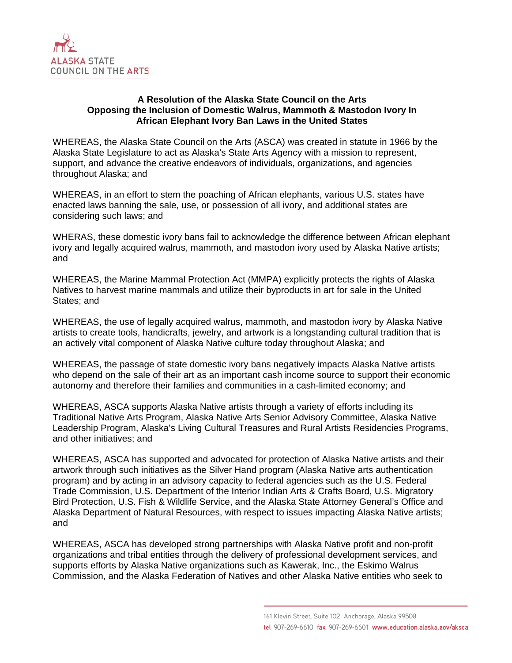

## **A Resolution of the Alaska State Council on the Arts Opposing the Inclusion of Domestic Walrus, Mammoth & Mastodon Ivory In African Elephant Ivory Ban Laws in the United States**

WHEREAS, the Alaska State Council on the Arts (ASCA) was created in statute in 1966 by the Alaska State Legislature to act as Alaska's State Arts Agency with a mission to represent, support, and advance the creative endeavors of individuals, organizations, and agencies throughout Alaska; and

WHEREAS, in an effort to stem the poaching of African elephants, various U.S. states have enacted laws banning the sale, use, or possession of all ivory, and additional states are considering such laws; and

WHERAS, these domestic ivory bans fail to acknowledge the difference between African elephant ivory and legally acquired walrus, mammoth, and mastodon ivory used by Alaska Native artists; and

WHEREAS, the Marine Mammal Protection Act (MMPA) explicitly protects the rights of Alaska Natives to harvest marine mammals and utilize their byproducts in art for sale in the United States; and

WHEREAS, the use of legally acquired walrus, mammoth, and mastodon ivory by Alaska Native artists to create tools, handicrafts, jewelry, and artwork is a longstanding cultural tradition that is an actively vital component of Alaska Native culture today throughout Alaska; and

WHEREAS, the passage of state domestic ivory bans negatively impacts Alaska Native artists who depend on the sale of their art as an important cash income source to support their economic autonomy and therefore their families and communities in a cash-limited economy; and

WHEREAS, ASCA supports Alaska Native artists through a variety of efforts including its Traditional Native Arts Program, Alaska Native Arts Senior Advisory Committee, Alaska Native Leadership Program, Alaska's Living Cultural Treasures and Rural Artists Residencies Programs, and other initiatives; and

WHEREAS, ASCA has supported and advocated for protection of Alaska Native artists and their artwork through such initiatives as the Silver Hand program (Alaska Native arts authentication program) and by acting in an advisory capacity to federal agencies such as the U.S. Federal Trade Commission, U.S. Department of the Interior Indian Arts & Crafts Board, U.S. Migratory Bird Protection, U.S. Fish & Wildlife Service, and the Alaska State Attorney General's Office and Alaska Department of Natural Resources, with respect to issues impacting Alaska Native artists; and

WHEREAS, ASCA has developed strong partnerships with Alaska Native profit and non-profit organizations and tribal entities through the delivery of professional development services, and supports efforts by Alaska Native organizations such as Kawerak, Inc., the Eskimo Walrus Commission, and the Alaska Federation of Natives and other Alaska Native entities who seek to